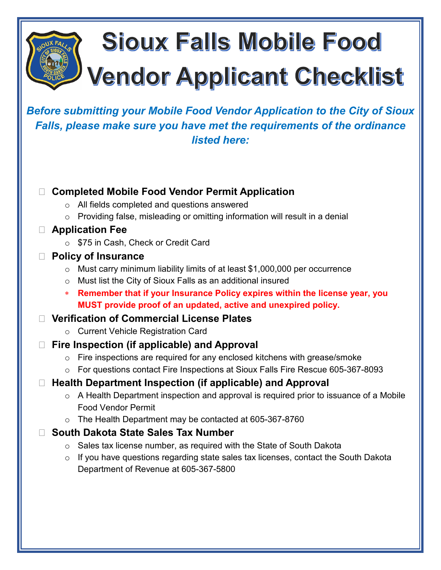# **Sioux Falls Mobile Food Vendor Applicant Checklist**

*Before submitting your Mobile Food Vendor Application to the City of Sioux Falls, please make sure you have met the requirements of the ordinance listed here:*

# **Completed Mobile Food Vendor Permit Application**

- o All fields completed and questions answered
- $\circ$  Providing false, misleading or omitting information will result in a denial
- **Application Fee**
	- o \$75 in Cash, Check or Credit Card
- **Policy of Insurance**
	- o Must carry minimum liability limits of at least \$1,000,000 per occurrence
	- o Must list the City of Sioux Falls as an additional insured
	- ∗ **Remember that if your Insurance Policy expires within the license year, you MUST provide proof of an updated, active and unexpired policy.**

# **Verification of Commercial License Plates**

- o Current Vehicle Registration Card
- **Fire Inspection (if applicable) and Approval**
	- $\circ$  Fire inspections are required for any enclosed kitchens with grease/smoke
	- o For questions contact Fire Inspections at Sioux Falls Fire Rescue 605-367-8093

# **Health Department Inspection (if applicable) and Approval**

- o A Health Department inspection and approval is required prior to issuance of a Mobile Food Vendor Permit
- o The Health Department may be contacted at 605-367-8760

# **South Dakota State Sales Tax Number**

- $\circ$  Sales tax license number, as required with the State of South Dakota
- o If you have questions regarding state sales tax licenses, contact the South Dakota Department of Revenue at 605-367-5800